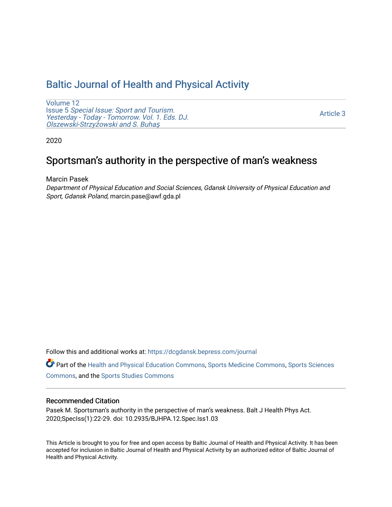## [Baltic Journal of Health and Physical Activity](https://dcgdansk.bepress.com/journal)

[Volume 12](https://dcgdansk.bepress.com/journal/vol12) Issue 5 [Special Issue: Sport and Tourism.](https://dcgdansk.bepress.com/journal/vol12/iss5)  [Yesterday - Today - Tomorrow. Vol. 1. Eds. DJ.](https://dcgdansk.bepress.com/journal/vol12/iss5)  [Olszewski-Strzy](https://dcgdansk.bepress.com/journal/vol12/iss5)żowski and S. Buhaş

[Article 3](https://dcgdansk.bepress.com/journal/vol12/iss5/3) 

2020

# Sportsman's authority in the perspective of man's weakness

Marcin Pasek

Department of Physical Education and Social Sciences, Gdansk University of Physical Education and Sport, Gdansk Poland, marcin.pase@awf.gda.pl

Follow this and additional works at: [https://dcgdansk.bepress.com/journal](https://dcgdansk.bepress.com/journal?utm_source=dcgdansk.bepress.com%2Fjournal%2Fvol12%2Fiss5%2F3&utm_medium=PDF&utm_campaign=PDFCoverPages)

Part of the [Health and Physical Education Commons](http://network.bepress.com/hgg/discipline/1327?utm_source=dcgdansk.bepress.com%2Fjournal%2Fvol12%2Fiss5%2F3&utm_medium=PDF&utm_campaign=PDFCoverPages), [Sports Medicine Commons,](http://network.bepress.com/hgg/discipline/1331?utm_source=dcgdansk.bepress.com%2Fjournal%2Fvol12%2Fiss5%2F3&utm_medium=PDF&utm_campaign=PDFCoverPages) [Sports Sciences](http://network.bepress.com/hgg/discipline/759?utm_source=dcgdansk.bepress.com%2Fjournal%2Fvol12%2Fiss5%2F3&utm_medium=PDF&utm_campaign=PDFCoverPages) [Commons](http://network.bepress.com/hgg/discipline/759?utm_source=dcgdansk.bepress.com%2Fjournal%2Fvol12%2Fiss5%2F3&utm_medium=PDF&utm_campaign=PDFCoverPages), and the [Sports Studies Commons](http://network.bepress.com/hgg/discipline/1198?utm_source=dcgdansk.bepress.com%2Fjournal%2Fvol12%2Fiss5%2F3&utm_medium=PDF&utm_campaign=PDFCoverPages) 

#### Recommended Citation

Pasek M. Sportsman's authority in the perspective of man's weakness. Balt J Health Phys Act. 2020;SpecIss(1):22-29. doi: 10.2935/BJHPA.12.Spec.Iss1.03

This Article is brought to you for free and open access by Baltic Journal of Health and Physical Activity. It has been accepted for inclusion in Baltic Journal of Health and Physical Activity by an authorized editor of Baltic Journal of Health and Physical Activity.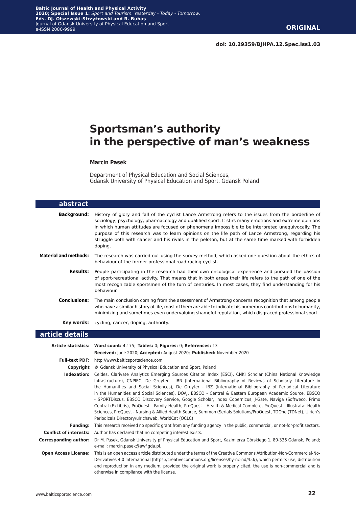# **Sportsman's authority in the perspective of man's weakness**

#### **Marcin Pasek**

Department of Physical Education and Social Sciences, Gdansk University of Physical Education and Sport, Gdansk Poland

| abstract                      |                                                                                                                                                                                                                                                                                                                                                                                                                                                                                                                                                                                                                                                                                                                                                                                                                                                                           |
|-------------------------------|---------------------------------------------------------------------------------------------------------------------------------------------------------------------------------------------------------------------------------------------------------------------------------------------------------------------------------------------------------------------------------------------------------------------------------------------------------------------------------------------------------------------------------------------------------------------------------------------------------------------------------------------------------------------------------------------------------------------------------------------------------------------------------------------------------------------------------------------------------------------------|
| <b>Background:</b>            | History of glory and fall of the cyclist Lance Armstrong refers to the issues from the borderline of<br>sociology, psychology, pharmacology and qualified sport. It stirs many emotions and extreme opinions<br>in which human attitudes are focused on phenomena impossible to be interpreted unequivocally. The<br>purpose of this research was to learn opinions on the life path of Lance Armstrong, regarding his<br>struggle both with cancer and his rivals in the peloton, but at the same time marked with forbidden<br>doping.                                                                                                                                                                                                                                                                                                                                  |
| <b>Material and methods:</b>  | The research was carried out using the survey method, which asked one question about the ethics of<br>behaviour of the former professional road racing cyclist.                                                                                                                                                                                                                                                                                                                                                                                                                                                                                                                                                                                                                                                                                                           |
| Results:                      | People participating in the research had their own oncological experience and pursued the passion<br>of sport-recreational activity. That means that in both areas their life refers to the path of one of the<br>most recognizable sportsmen of the turn of centuries. In most cases, they find understanding for his<br>behaviour.                                                                                                                                                                                                                                                                                                                                                                                                                                                                                                                                      |
| <b>Conclusions:</b>           | The main conclusion coming from the assessment of Armstrong concerns recognition that among people<br>who have a similar history of life, most of them are able to indicate his numerous contributions to humanity,<br>minimizing and sometimes even undervaluing shameful reputation, which disgraced professional sport.                                                                                                                                                                                                                                                                                                                                                                                                                                                                                                                                                |
| Key words:                    | cycling, cancer, doping, authority.                                                                                                                                                                                                                                                                                                                                                                                                                                                                                                                                                                                                                                                                                                                                                                                                                                       |
| article details               |                                                                                                                                                                                                                                                                                                                                                                                                                                                                                                                                                                                                                                                                                                                                                                                                                                                                           |
|                               | Article statistics: Word count: 4,175; Tables: 0; Figures: 0; References: 13<br>Received: June 2020; Accepted: August 2020; Published: November 2020                                                                                                                                                                                                                                                                                                                                                                                                                                                                                                                                                                                                                                                                                                                      |
|                               | Full-text PDF: http://www.balticsportscience.com                                                                                                                                                                                                                                                                                                                                                                                                                                                                                                                                                                                                                                                                                                                                                                                                                          |
|                               | <b>Copyright</b> © Gdansk University of Physical Education and Sport, Poland                                                                                                                                                                                                                                                                                                                                                                                                                                                                                                                                                                                                                                                                                                                                                                                              |
|                               | Indexation: Celdes, Clarivate Analytics Emerging Sources Citation Index (ESCI), CNKI Scholar (China National Knowledge<br>Infrastructure), CNPIEC, De Gruyter - IBR (International Bibliography of Reviews of Scholarly Literature in<br>the Humanities and Social Sciences), De Gruyter - IBZ (International Bibliography of Periodical Literature<br>in the Humanities and Social Sciences), DOAJ, EBSCO - Central & Eastern European Academic Source, EBSCO<br>- SPORTDiscus, EBSCO Discovery Service, Google Scholar, Index Copernicus, J-Gate, Naviga (Softweco, Primo<br>Central (ExLibris), ProQuest - Family Health, ProQuest - Health & Medical Complete, ProQuest - Illustrata: Health<br>Sciences, ProQuest - Nursing & Allied Health Source, Summon (Serials Solutions/ProQuest, TDOne (TDNet), Ulrich's<br>Periodicals Directory/ulrichsweb, WorldCat (OCLC) |
| Funding:                      | This research received no specific grant from any funding agency in the public, commercial, or not-for-profit sectors.                                                                                                                                                                                                                                                                                                                                                                                                                                                                                                                                                                                                                                                                                                                                                    |
| <b>Conflict of interests:</b> | Author has declared that no competing interest exists.                                                                                                                                                                                                                                                                                                                                                                                                                                                                                                                                                                                                                                                                                                                                                                                                                    |
| <b>Corresponding author:</b>  | Dr M. Pasek, Gdansk University pf Physical Education and Sport, Kazimierza Górskiego 1, 80-336 Gdansk, Poland;                                                                                                                                                                                                                                                                                                                                                                                                                                                                                                                                                                                                                                                                                                                                                            |
| <b>Open Access License:</b>   | e-mail: marcin.pasek@awf.gda.pl.<br>This is an open access article distributed under the terms of the Creative Commons Attribution-Non-Commercial-No-                                                                                                                                                                                                                                                                                                                                                                                                                                                                                                                                                                                                                                                                                                                     |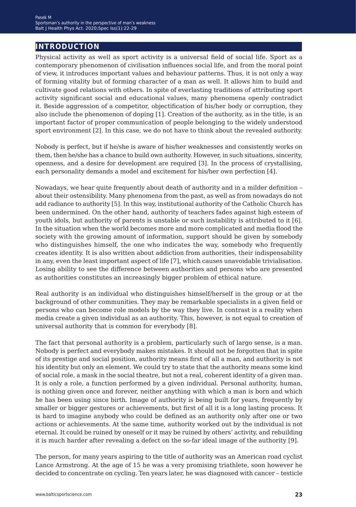## **introduction**

Physical activity as well as sport activity is a universal field of social life. Sport as a contemporary phenomenon of civilisation influences social life, and from the moral point of view, it introduces important values and behaviour patterns. Thus, it is not only a way of forming vitality but of forming character of a man as well. It allows him to build and cultivate good relations with others. In spite of everlasting traditions of attributing sport activity significant social and educational values, many phenomena openly contradict it. Beside aggression of a competitor, objectification of his/her body or corruption, they also include the phenomenon of doping [1]. Creation of the authority, as in the title, is an important factor of proper communication of people belonging to the widely understood sport environment [2]. In this case, we do not have to think about the revealed authority.

Nobody is perfect, but if he/she is aware of his/her weaknesses and consistently works on them, then he/she has a chance to build own authority. However, in such situations, sincerity, openness, and a desire for development are required [3]. In the process of crystallising, each personality demands a model and excitement for his/her own perfection [4].

Nowadays, we hear quite frequently about death of authority and in a milder definition – about their ostensibility. Many phenomena from the past, as well as from nowadays do not add radiance to authority [5]. In this way, institutional authority of the Catholic Church has been undermined. On the other hand, authority of teachers fades against high esteem of youth idols, but authority of parents is unstable or such instability is attributed to it [6]. In the situation when the world becomes more and more complicated and media flood the society with the growing amount of information, support should be given by somebody who distinguishes himself, the one who indicates the way, somebody who frequently creates identity. It is also written about addiction from authorities, their indispensability in any, even the least important aspect of life [7], which causes unavoidable trivialisation. Losing ability to see the difference between authorities and persons who are presented as authorities constitutes an increasingly bigger problem of ethical nature.

Real authority is an individual who distinguishes himself/herself in the group or at the background of other communities. They may be remarkable specialists in a given field or persons who can become role models by the way they live. In contrast is a reality when media create a given individual as an authority. This, however, is not equal to creation of universal authority that is common for everybody [8].

The fact that personal authority is a problem, particularly such of largo sense, is a man. Nobody is perfect and everybody makes mistakes. It should not be forgotten that in spite of its prestige and social position, authority means first of all a man, and authority is not his identity but only an element. We could try to state that the authority means some kind of social role, a mask in the social theatre, but not a real, coherent identity of a given man. It is only a role, a function performed by a given individual. Personal authority, human, is nothing given once and forever, neither anything with which a man is born and which he has been using since birth. Image of authority is being built for years, frequently by smaller or bigger gestures or achievements, but first of all it is a long lasting process. It is hard to imagine anybody who could be defined as an authority only after one or two actions or achievements. At the same time, authority worked out by the individual is not eternal. It could be ruined by oneself or it may be ruined by others' activity, and rebuilding it is much harder after revealing a defect on the so-far ideal image of the authority [9].

The person, for many years aspiring to the title of authority was an American road cyclist Lance Armstrong. At the age of 15 he was a very promising triathlete, soon however he decided to concentrate on cycling. Ten years later, he was diagnosed with cancer – testicle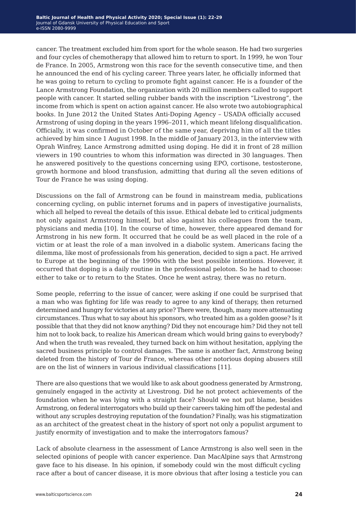cancer. The treatment excluded him from sport for the whole season. He had two surgeries and four cycles of chemotherapy that allowed him to return to sport. In 1999, he won Tour de France. In 2005, Armstrong won this race for the seventh consecutive time, and then he announced the end of his cycling career. Three years later, he officially informed that he was going to return to cycling to promote fight against cancer. He is a founder of the Lance Armstrong Foundation, the organization with 20 million members called to support people with cancer. It started selling rubber bands with the inscription "Livestrong", the income from which is spent on action against cancer. He also wrote two autobiographical books. In June 2012 the United States Anti-Doping Agency – USADA officially accused Armstrong of using doping in the years 1996–2011, which meant lifelong disqualification. Officially, it was confirmed in October of the same year, depriving him of all the titles achieved by him since 1 August 1998. In the middle of January 2013, in the interview with Oprah Winfrey, Lance Armstrong admitted using doping. He did it in front of 28 million viewers in 190 countries to whom this information was directed in 30 languages. Then he answered positively to the questions concerning using EPO, cortisone, testosterone, growth hormone and blood transfusion, admitting that during all the seven editions of Tour de France he was using doping.

Discussions on the fall of Armstrong can be found in mainstream media, publications concerning cycling, on public internet forums and in papers of investigative journalists, which all helped to reveal the details of this issue. Ethical debate led to critical judgments not only against Armstrong himself, but also against his colleagues from the team, physicians and media [10]. In the course of time, however, there appeared demand for Armstrong in his new form. It occurred that he could be as well placed in the role of a victim or at least the role of a man involved in a diabolic system. Americans facing the dilemma, like most of professionals from his generation, decided to sign a pact. He arrived to Europe at the beginning of the 1990s with the best possible intentions. However, it occurred that doping is a daily routine in the professional peloton. So he had to choose: either to take or to return to the States. Once he went astray, there was no return.

Some people, referring to the issue of cancer, were asking if one could be surprised that a man who was fighting for life was ready to agree to any kind of therapy, then returned determined and hungry for victories at any price? There were, though, many more attenuating circumstances. Thus what to say about his sponsors, who treated him as a golden goose? Is it possible that that they did not know anything? Did they not encourage him? Did they not tell him not to look back, to realize his American dream which would bring gains to everybody? And when the truth was revealed, they turned back on him without hesitation, applying the sacred business principle to control damages. The same is another fact, Armstrong being deleted from the history of Tour de France, whereas other notorious doping abusers still are on the list of winners in various individual classifications [11].

There are also questions that we would like to ask about goodness generated by Armstrong, genuinely engaged in the activity at Livestrong. Did he not protect achievements of the foundation when he was lying with a straight face? Should we not put blame, besides Armstrong, on federal interrogators who build up their careers taking him off the pedestal and without any scruples destroying reputation of the foundation? Finally, was his stigmatization as an architect of the greatest cheat in the history of sport not only a populist argument to justify enormity of investigation and to make the interrogators famous?

Lack of absolute clearness in the assessment of Lance Armstrong is also well seen in the selected opinions of people with cancer experience. Dan MacAlpine says that Armstrong gave face to his disease. In his opinion, if somebody could win the most difficult cycling race after a bout of cancer disease, it is more obvious that after losing a testicle you can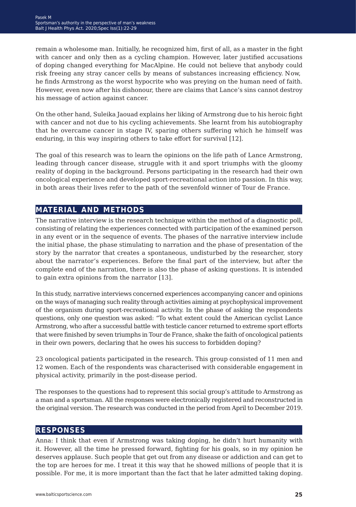remain a wholesome man. Initially, he recognized him, first of all, as a master in the fight with cancer and only then as a cycling champion. However, later justified accusations of doping changed everything for MacAlpine. He could not believe that anybody could risk freeing any stray cancer cells by means of substances increasing efficiency. Now, he finds Armstrong as the worst hypocrite who was preying on the human need of faith. However, even now after his dishonour, there are claims that Lance's sins cannot destroy his message of action against cancer.

On the other hand, Suleika Jaouad explains her liking of Armstrong due to his heroic fight with cancer and not due to his cycling achievements. She learnt from his autobiography that he overcame cancer in stage IV, sparing others suffering which he himself was enduring, in this way inspiring others to take effort for survival [12].

The goal of this research was to learn the opinions on the life path of Lance Armstrong, leading through cancer disease, struggle with it and sport triumphs with the gloomy reality of doping in the background. Persons participating in the research had their own oncological experience and developed sport-recreational action into passion. In this way, in both areas their lives refer to the path of the sevenfold winner of Tour de France.

### **material and methods**

The narrative interview is the research technique within the method of a diagnostic poll, consisting of relating the experiences connected with participation of the examined person in any event or in the sequence of events. The phases of the narrative interview include the initial phase, the phase stimulating to narration and the phase of presentation of the story by the narrator that creates a spontaneous, undisturbed by the researcher, story about the narrator's experiences. Before the final part of the interview, but after the complete end of the narration, there is also the phase of asking questions. It is intended to gain extra opinions from the narrator [13].

In this study, narrative interviews concerned experiences accompanying cancer and opinions on the ways of managing such reality through activities aiming at psychophysical improvement of the organism during sport-recreational activity. In the phase of asking the respondents questions, only one question was asked: "To what extent could the American cyclist Lance Armstrong, who after a successful battle with testicle cancer returned to extreme sport efforts that were finished by seven triumphs in Tour de France, shake the faith of oncological patients in their own powers, declaring that he owes his success to forbidden doping?

23 oncological patients participated in the research. This group consisted of 11 men and 12 women. Each of the respondents was characterised with considerable engagement in physical activity, primarily in the post-disease period.

The responses to the questions had to represent this social group's attitude to Armstrong as a man and a sportsman. All the responses were electronically registered and reconstructed in the original version. The research was conducted in the period from April to December 2019.

#### **responses**

Anna: I think that even if Armstrong was taking doping, he didn't hurt humanity with it. However, all the time he pressed forward, fighting for his goals, so in my opinion he deserves applause. Such people that get out from any disease or addiction and can get to the top are heroes for me. I treat it this way that he showed millions of people that it is possible. For me, it is more important than the fact that he later admitted taking doping.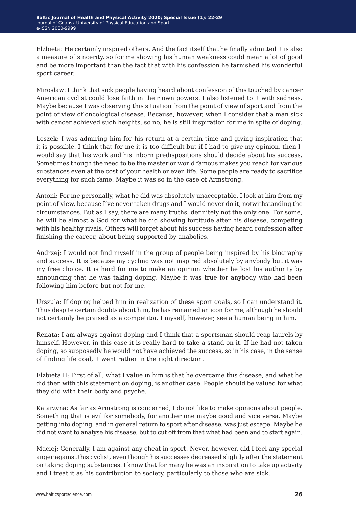Elżbieta: He certainly inspired others. And the fact itself that he finally admitted it is also a measure of sincerity, so for me showing his human weakness could mean a lot of good and be more important than the fact that with his confession he tarnished his wonderful sport career.

Mirosław: I think that sick people having heard about confession of this touched by cancer American cyclist could lose faith in their own powers. I also listened to it with sadness. Maybe because I was observing this situation from the point of view of sport and from the point of view of oncological disease. Because, however, when I consider that a man sick with cancer achieved such heights, so no, he is still inspiration for me in spite of doping.

Leszek: I was admiring him for his return at a certain time and giving inspiration that it is possible. I think that for me it is too difficult but if I had to give my opinion, then I would say that his work and his inborn predispositions should decide about his success. Sometimes though the need to be the master or world famous makes you reach for various substances even at the cost of your health or even life. Some people are ready to sacrifice everything for such fame. Maybe it was so in the case of Armstrong.

Antoni: For me personally, what he did was absolutely unacceptable. I look at him from my point of view, because I've never taken drugs and I would never do it, notwithstanding the circumstances. But as I say, there are many truths, definitely not the only one. For some, he will be almost a God for what he did showing fortitude after his disease, competing with his healthy rivals. Others will forget about his success having heard confession after finishing the career, about being supported by anabolics.

Andrzej: I would not find myself in the group of people being inspired by his biography and success. It is because my cycling was not inspired absolutely by anybody but it was my free choice. It is hard for me to make an opinion whether he lost his authority by announcing that he was taking doping. Maybe it was true for anybody who had been following him before but not for me.

Urszula: If doping helped him in realization of these sport goals, so I can understand it. Thus despite certain doubts about him, he has remained an icon for me, although he should not certainly be praised as a competitor. I myself, however, see a human being in him.

Renata: I am always against doping and I think that a sportsman should reap laurels by himself. However, in this case it is really hard to take a stand on it. If he had not taken doping, so supposedly he would not have achieved the success, so in his case, in the sense of finding life goal, it went rather in the right direction.

Elżbieta II: First of all, what I value in him is that he overcame this disease, and what he did then with this statement on doping, is another case. People should be valued for what they did with their body and psyche.

Katarzyna: As far as Armstrong is concerned, I do not like to make opinions about people. Something that is evil for somebody, for another one maybe good and vice versa. Maybe getting into doping, and in general return to sport after disease, was just escape. Maybe he did not want to analyse his disease, but to cut off from that what had been and to start again.

Maciej: Generally, I am against any cheat in sport. Never, however, did I feel any special anger against this cyclist, even though his successes decreased slightly after the statement on taking doping substances. I know that for many he was an inspiration to take up activity and I treat it as his contribution to society, particularly to those who are sick.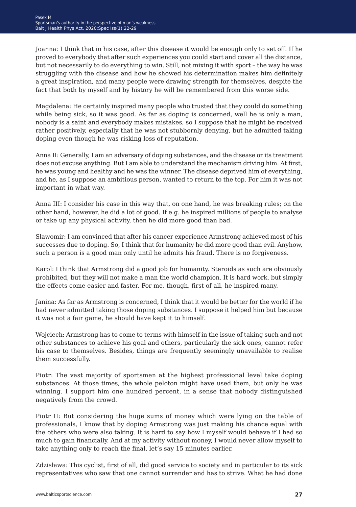Joanna: I think that in his case, after this disease it would be enough only to set off. If he proved to everybody that after such experiences you could start and cover all the distance, but not necessarily to do everything to win. Still, not mixing it with sport – the way he was struggling with the disease and how he showed his determination makes him definitely a great inspiration, and many people were drawing strength for themselves, despite the fact that both by myself and by history he will be remembered from this worse side.

Magdalena: He certainly inspired many people who trusted that they could do something while being sick, so it was good. As far as doping is concerned, well he is only a man, nobody is a saint and everybody makes mistakes, so I suppose that he might be received rather positively, especially that he was not stubbornly denying, but he admitted taking doping even though he was risking loss of reputation.

Anna II: Generally, I am an adversary of doping substances, and the disease or its treatment does not excuse anything. But I am able to understand the mechanism driving him. At first, he was young and healthy and he was the winner. The disease deprived him of everything, and he, as I suppose an ambitious person, wanted to return to the top. For him it was not important in what way.

Anna III: I consider his case in this way that, on one hand, he was breaking rules; on the other hand, however, he did a lot of good. If e.g. he inspired millions of people to analyse or take up any physical activity, then he did more good than bad.

Sławomir: I am convinced that after his cancer experience Armstrong achieved most of his successes due to doping. So, I think that for humanity he did more good than evil. Anyhow, such a person is a good man only until he admits his fraud. There is no forgiveness.

Karol: I think that Armstrong did a good job for humanity. Steroids as such are obviously prohibited, but they will not make a man the world champion. It is hard work, but simply the effects come easier and faster. For me, though, first of all, he inspired many.

Janina: As far as Armstrong is concerned, I think that it would be better for the world if he had never admitted taking those doping substances. I suppose it helped him but because it was not a fair game, he should have kept it to himself.

Wojciech: Armstrong has to come to terms with himself in the issue of taking such and not other substances to achieve his goal and others, particularly the sick ones, cannot refer his case to themselves. Besides, things are frequently seemingly unavailable to realise them successfully.

Piotr: The vast majority of sportsmen at the highest professional level take doping substances. At those times, the whole peloton might have used them, but only he was winning. I support him one hundred percent, in a sense that nobody distinguished negatively from the crowd.

Piotr II: But considering the huge sums of money which were lying on the table of professionals, I know that by doping Armstrong was just making his chance equal with the others who were also taking. It is hard to say how I myself would behave if I had so much to gain financially. And at my activity without money, I would never allow myself to take anything only to reach the final, let's say 15 minutes earlier.

Zdzisława: This cyclist, first of all, did good service to society and in particular to its sick representatives who saw that one cannot surrender and has to strive. What he had done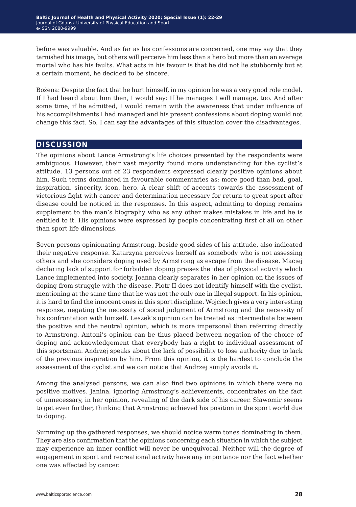before was valuable. And as far as his confessions are concerned, one may say that they tarnished his image, but others will perceive him less than a hero but more than an average mortal who has his faults. What acts in his favour is that he did not lie stubbornly but at a certain moment, he decided to be sincere.

Bożena: Despite the fact that he hurt himself, in my opinion he was a very good role model. If I had heard about him then, I would say: If he manages I will manage, too. And after some time, if he admitted, I would remain with the awareness that under influence of his accomplishments I had managed and his present confessions about doping would not change this fact. So, I can say the advantages of this situation cover the disadvantages.

### **discussion**

The opinions about Lance Armstrong's life choices presented by the respondents were ambiguous. However, their vast majority found more understanding for the cyclist's attitude. 13 persons out of 23 respondents expressed clearly positive opinions about him. Such terms dominated in favourable commentaries as: more good than bad, goal, inspiration, sincerity, icon, hero. A clear shift of accents towards the assessment of victorious fight with cancer and determination necessary for return to great sport after disease could be noticed in the responses. In this aspect, admitting to doping remains supplement to the man's biography who as any other makes mistakes in life and he is entitled to it. His opinions were expressed by people concentrating first of all on other than sport life dimensions.

Seven persons opinionating Armstrong, beside good sides of his attitude, also indicated their negative response. Katarzyna perceives herself as somebody who is not assessing others and she considers doping used by Armstrong as escape from the disease. Maciej declaring lack of support for forbidden doping praises the idea of physical activity which Lance implemented into society. Joanna clearly separates in her opinion on the issues of doping from struggle with the disease. Piotr II does not identify himself with the cyclist, mentioning at the same time that he was not the only one in illegal support. In his opinion, it is hard to find the innocent ones in this sport discipline. Wojciech gives a very interesting response, negating the necessity of social judgment of Armstrong and the necessity of his confrontation with himself. Leszek's opinion can be treated as intermediate between the positive and the neutral opinion, which is more impersonal than referring directly to Armstrong. Antoni's opinion can be thus placed between negation of the choice of doping and acknowledgement that everybody has a right to individual assessment of this sportsman. Andrzej speaks about the lack of possibility to lose authority due to lack of the previous inspiration by him. From this opinion, it is the hardest to conclude the assessment of the cyclist and we can notice that Andrzej simply avoids it.

Among the analysed persons, we can also find two opinions in which there were no positive motives. Janina, ignoring Armstrong's achievements, concentrates on the fact of unnecessary, in her opinion, revealing of the dark side of his career. Sławomir seems to get even further, thinking that Armstrong achieved his position in the sport world due to doping.

Summing up the gathered responses, we should notice warm tones dominating in them. They are also confirmation that the opinions concerning each situation in which the subject may experience an inner conflict will never be unequivocal. Neither will the degree of engagement in sport and recreational activity have any importance nor the fact whether one was affected by cancer.